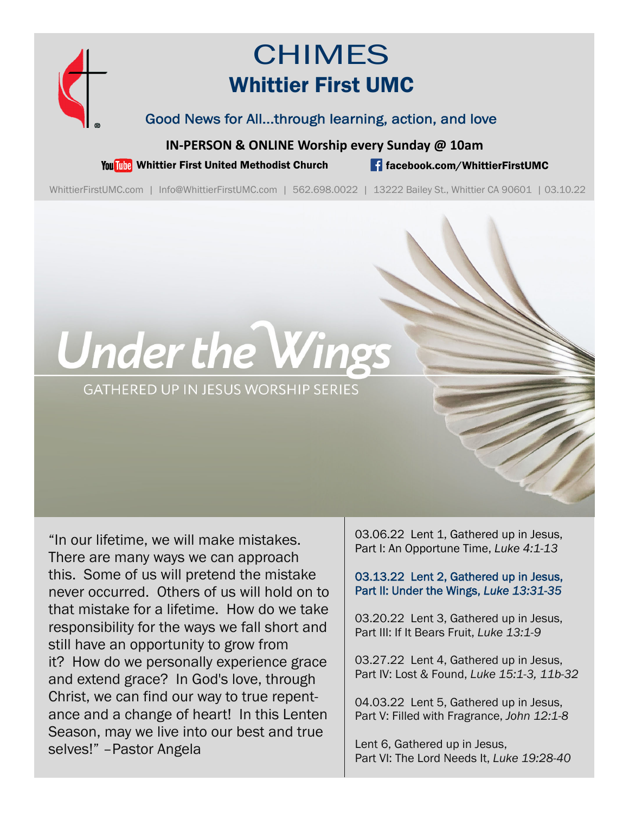

# **CHIMES** Whittier First UMC

Good News for All...through learning, action, and love

**IN‐PERSON & ONLINE Worship every Sunday @ 10am**

You This Whittier First United Methodist Church **for the facebook.com/WhittierFirstUMC** 

WhittierFirstUMC.com | Info@WhittierFirstUMC.com | 562.698.0022 | 13222 Bailey St., Whittier CA 90601 | 03.10.22

# **Under the Wings**

**GATHERED UP IN JESUS WORSHIP SERIES** 

"In our lifetime, we will make mistakes. There are many ways we can approach this. Some of us will pretend the mistake never occurred. Others of us will hold on to that mistake for a lifetime. How do we take responsibility for the ways we fall short and still have an opportunity to grow from it? How do we personally experience grace and extend grace? In God's love, through Christ, we can find our way to true repentance and a change of heart! In this Lenten Season, may we live into our best and true selves!" –Pastor Angela

03.06.22 Lent 1, Gathered up in Jesus, Part I: An Opportune Time, *Luke 4:1-13*

03.13.22 Lent 2, Gathered up in Jesus, Part II: Under the Wings, *Luke 13:31-35*

03.20.22 Lent 3, Gathered up in Jesus, Part III: If It Bears Fruit, *Luke 13:1-9*

03.27.22 Lent 4, Gathered up in Jesus, Part IV: Lost & Found, *Luke 15:1-3, 11b-32*

04.03.22 Lent 5, Gathered up in Jesus, Part V: Filled with Fragrance, *John 12:1-8* 

Lent 6, Gathered up in Jesus, Part VI: The Lord Needs It, *Luke 19:28-40*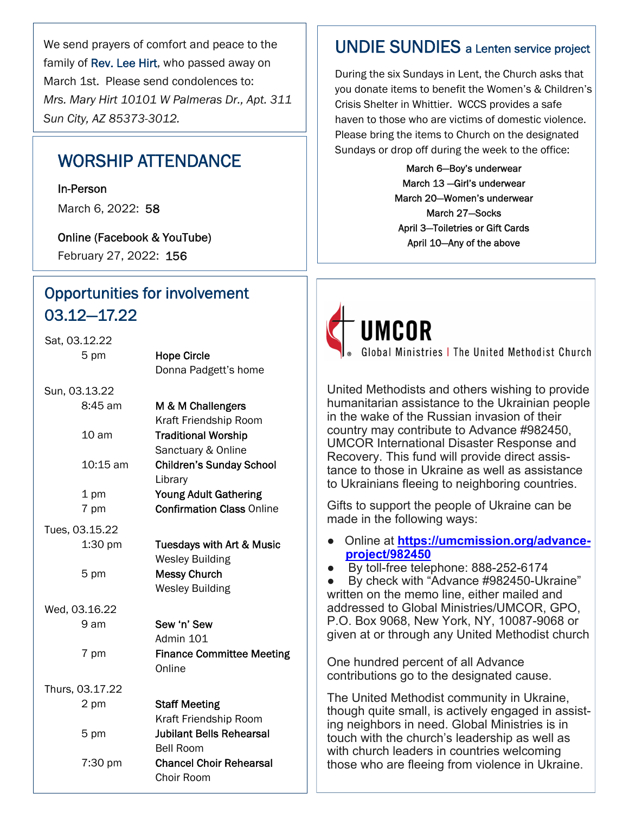We send prayers of comfort and peace to the family of Rev. Lee Hirt, who passed away on March 1st. Please send condolences to: *Mrs. Mary Hirt 10101 W Palmeras Dr., Apt. 311 Sun City, AZ 85373-3012.*

# WORSHIP ATTENDANCE

In-Person

March 6, 2022: 58

Online (Facebook & YouTube) February 27, 2022: 156

# Opportunities for involvement 03.12—17.22

| Sat, 03.12.22    |                                      |
|------------------|--------------------------------------|
| 5 pm             | <b>Hope Circle</b>                   |
|                  | Donna Padgett's home                 |
| Sun, 03.13.22    |                                      |
| $8:45$ am        | M & M Challengers                    |
|                  | Kraft Friendship Room                |
| 10 <sub>am</sub> | <b>Traditional Worship</b>           |
|                  | Sanctuary & Online                   |
| 10:15 am         | <b>Children's Sunday School</b>      |
|                  | Library                              |
| 1 pm             | <b>Young Adult Gathering</b>         |
| 7 pm             | <b>Confirmation Class Online</b>     |
| Tues, 03.15.22   |                                      |
| $1:30$ pm        | <b>Tuesdays with Art &amp; Music</b> |
|                  | <b>Wesley Building</b>               |
| 5 pm             | <b>Messy Church</b>                  |
|                  | <b>Wesley Building</b>               |
| Wed, 03.16.22    |                                      |
| 9 am             | Sew 'n' Sew                          |
|                  | Admin 101                            |
| 7 pm             | <b>Finance Committee Meeting</b>     |
|                  | Online                               |
| Thurs, 03.17.22  |                                      |
| 2 pm             | <b>Staff Meeting</b>                 |
|                  | Kraft Friendship Room                |
| 5 pm             | <b>Jubilant Bells Rehearsal</b>      |
|                  | Bell Room                            |
| 7:30 pm          | <b>Chancel Choir Rehearsal</b>       |
|                  | Choir Room                           |

## UNDIE SUNDIES a Lenten service project

During the six Sundays in Lent, the Church asks that you donate items to benefit the Women's & Children's Crisis Shelter in Whittier. WCCS provides a safe haven to those who are victims of domestic violence. Please bring the items to Church on the designated Sundays or drop off during the week to the office:

> March 6—Boy's underwear March 13 —Girl's underwear March 20—Women's underwear March 27—Socks April 3—Toiletries or Gift Cards April 10—Any of the above



**UMCOR** Global Ministries | The United Methodist Church

United Methodists and others wishing to provide humanitarian assistance to the Ukrainian people in the wake of the Russian invasion of their country may contribute to Advance #982450, UMCOR International Disaster Response and Recovery. This fund will provide direct assistance to those in Ukraine as well as assistance to Ukrainians fleeing to neighboring countries.

Gifts to support the people of Ukraine can be made in the following ways:

- Online at **https://umcmission.org/advanceproject/982450**
- By toll-free telephone: 888-252-6174

● By check with "Advance #982450-Ukraine" written on the memo line, either mailed and addressed to Global Ministries/UMCOR, GPO, P.O. Box 9068, New York, NY, 10087-9068 or given at or through any United Methodist church

One hundred percent of all Advance contributions go to the designated cause.

The United Methodist community in Ukraine, though quite small, is actively engaged in assisting neighbors in need. Global Ministries is in touch with the church's leadership as well as with church leaders in countries welcoming those who are fleeing from violence in Ukraine.